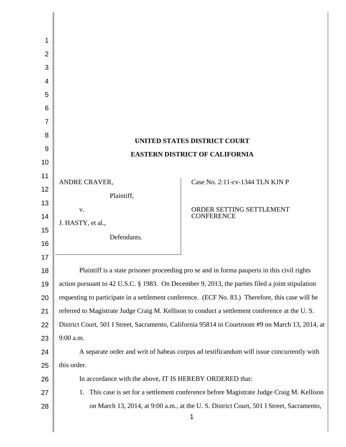| 1              |                                                                                                  |                                               |
|----------------|--------------------------------------------------------------------------------------------------|-----------------------------------------------|
| 2              |                                                                                                  |                                               |
| 3              |                                                                                                  |                                               |
| 4              |                                                                                                  |                                               |
| 5              |                                                                                                  |                                               |
| 6              |                                                                                                  |                                               |
| $\overline{7}$ |                                                                                                  |                                               |
| 8              |                                                                                                  |                                               |
| 9              | <b>UNITED STATES DISTRICT COURT</b>                                                              |                                               |
| 10             | <b>EASTERN DISTRICT OF CALIFORNIA</b>                                                            |                                               |
| 11             |                                                                                                  |                                               |
| 12             | ANDRE CRAVER,                                                                                    | Case No. 2:11-cv-1344 TLN KJN P               |
| 13             | Plaintiff,                                                                                       |                                               |
| 14             | V.                                                                                               | ORDER SETTING SETTLEMENT<br><b>CONFERENCE</b> |
| 15             | J. HASTY, et al.,                                                                                |                                               |
| 16             | Defendants.                                                                                      |                                               |
| 17             |                                                                                                  |                                               |
| 18             | Plaintiff is a state prisoner proceeding pro se and in forma pauperis in this civil rights       |                                               |
| 19             | action pursuant to 42 U.S.C. § 1983. On December 9, 2013, the parties filed a joint stipulation  |                                               |
| 20             | requesting to participate in a settlement conference. (ECF No. 83.) Therefore, this case will be |                                               |
| 21             | referred to Magistrate Judge Craig M. Kellison to conduct a settlement conference at the U.S.    |                                               |
| 22             | District Court, 501 I Street, Sacramento, California 95814 in Courtroom #9 on March 13, 2014, at |                                               |
| 23             | 9:00 a.m.                                                                                        |                                               |
| 24             | A separate order and writ of habeas corpus ad testificandum will issue concurrently with         |                                               |
| 25             | this order.                                                                                      |                                               |
| 26             | In accordance with the above, IT IS HEREBY ORDERED that:                                         |                                               |
| 27             | This case is set for a settlement conference before Magistrate Judge Craig M. Kellison<br>1.     |                                               |
| 28             | on March 13, 2014, at 9:00 a.m., at the U.S. District Court, 501 I Street, Sacramento,           |                                               |
|                |                                                                                                  | 1                                             |